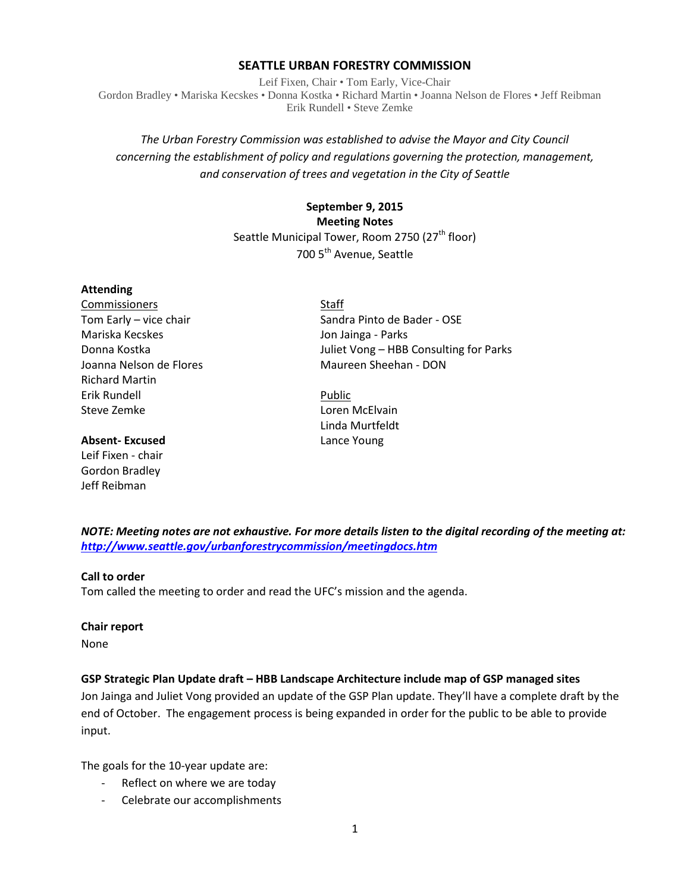#### **SEATTLE URBAN FORESTRY COMMISSION**

Leif Fixen, Chair • Tom Early, Vice-Chair Gordon Bradley • Mariska Kecskes • Donna Kostka • Richard Martin • Joanna Nelson de Flores • Jeff Reibman Erik Rundell • Steve Zemke

## *The Urban Forestry Commission was established to advise the Mayor and City Council concerning the establishment of policy and regulations governing the protection, management, and conservation of trees and vegetation in the City of Seattle*

# **September 9, 2015 Meeting Notes** Seattle Municipal Tower, Room 2750 (27<sup>th</sup> floor) 700 5<sup>th</sup> Avenue, Seattle

#### **Attending**

Commissioners Staff Mariska Kecskes Jon Jainga - Parks Richard Martin Erik Rundell Public Steve Zemke **Loren McElvain** 

#### **Absent- Excused** Lance Young

Leif Fixen - chair Gordon Bradley Jeff Reibman

Tom Early – vice chair Sandra Pinto de Bader - OSE Donna Kostka Juliet Vong – HBB Consulting for Parks Joanna Nelson de Flores Maureen Sheehan - DON

Linda Murtfeldt

*NOTE: Meeting notes are not exhaustive. For more details listen to the digital recording of the meeting at: <http://www.seattle.gov/urbanforestrycommission/meetingdocs.htm>*

## **Call to order**

Tom called the meeting to order and read the UFC's mission and the agenda.

#### **Chair report**

None

## **GSP Strategic Plan Update draft – HBB Landscape Architecture include map of GSP managed sites**

Jon Jainga and Juliet Vong provided an update of the GSP Plan update. They'll have a complete draft by the end of October. The engagement process is being expanded in order for the public to be able to provide input.

The goals for the 10-year update are:

- Reflect on where we are today
- Celebrate our accomplishments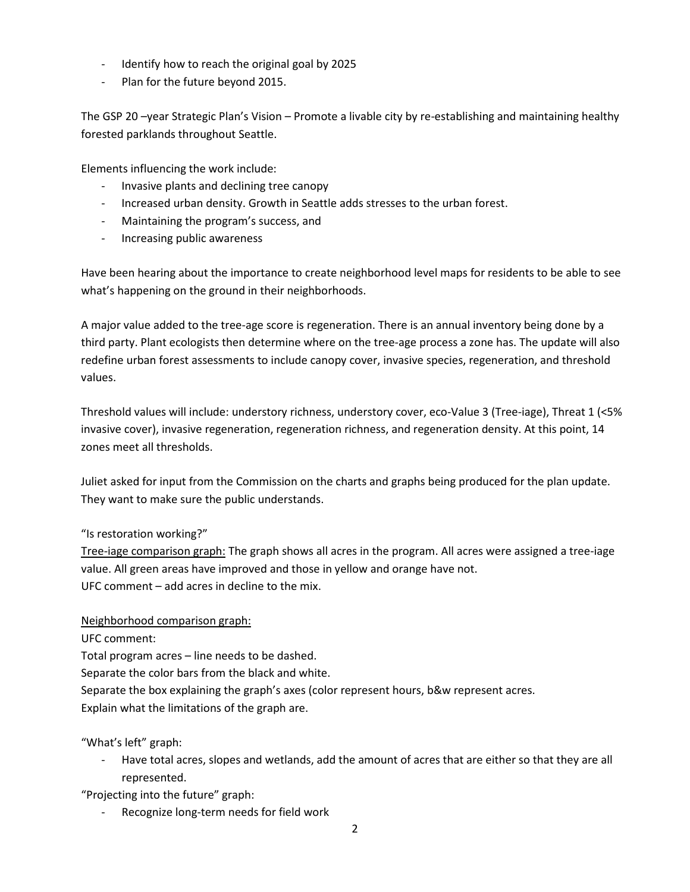- Identify how to reach the original goal by 2025
- Plan for the future beyond 2015.

The GSP 20 –year Strategic Plan's Vision – Promote a livable city by re-establishing and maintaining healthy forested parklands throughout Seattle.

Elements influencing the work include:

- Invasive plants and declining tree canopy
- Increased urban density. Growth in Seattle adds stresses to the urban forest.
- Maintaining the program's success, and
- Increasing public awareness

Have been hearing about the importance to create neighborhood level maps for residents to be able to see what's happening on the ground in their neighborhoods.

A major value added to the tree-age score is regeneration. There is an annual inventory being done by a third party. Plant ecologists then determine where on the tree-age process a zone has. The update will also redefine urban forest assessments to include canopy cover, invasive species, regeneration, and threshold values.

Threshold values will include: understory richness, understory cover, eco-Value 3 (Tree-iage), Threat 1 (<5% invasive cover), invasive regeneration, regeneration richness, and regeneration density. At this point, 14 zones meet all thresholds.

Juliet asked for input from the Commission on the charts and graphs being produced for the plan update. They want to make sure the public understands.

## "Is restoration working?"

Tree-iage comparison graph: The graph shows all acres in the program. All acres were assigned a tree-iage value. All green areas have improved and those in yellow and orange have not. UFC comment – add acres in decline to the mix.

## Neighborhood comparison graph:

UFC comment:

Total program acres – line needs to be dashed.

Separate the color bars from the black and white.

Separate the box explaining the graph's axes (color represent hours, b&w represent acres.

Explain what the limitations of the graph are.

"What's left" graph:

Have total acres, slopes and wetlands, add the amount of acres that are either so that they are all represented.

"Projecting into the future" graph:

Recognize long-term needs for field work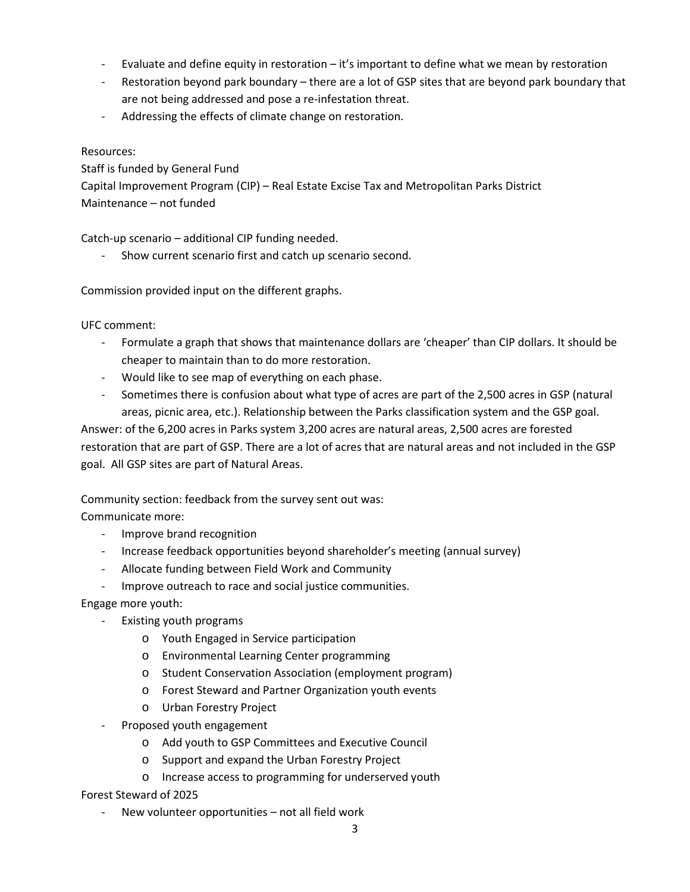- Evaluate and define equity in restoration  $-$  it's important to define what we mean by restoration
- Restoration beyond park boundary there are a lot of GSP sites that are beyond park boundary that are not being addressed and pose a re-infestation threat.
- Addressing the effects of climate change on restoration.

## Resources:

Staff is funded by General Fund

Capital Improvement Program (CIP) – Real Estate Excise Tax and Metropolitan Parks District Maintenance – not funded

Catch-up scenario – additional CIP funding needed.

Show current scenario first and catch up scenario second.

Commission provided input on the different graphs.

UFC comment:

- Formulate a graph that shows that maintenance dollars are 'cheaper' than CIP dollars. It should be cheaper to maintain than to do more restoration.
- Would like to see map of everything on each phase.
- Sometimes there is confusion about what type of acres are part of the 2,500 acres in GSP (natural areas, picnic area, etc.). Relationship between the Parks classification system and the GSP goal.

Answer: of the 6,200 acres in Parks system 3,200 acres are natural areas, 2,500 acres are forested restoration that are part of GSP. There are a lot of acres that are natural areas and not included in the GSP goal. All GSP sites are part of Natural Areas.

Community section: feedback from the survey sent out was:

Communicate more:

- Improve brand recognition
- Increase feedback opportunities beyond shareholder's meeting (annual survey)
- Allocate funding between Field Work and Community
- Improve outreach to race and social justice communities.

Engage more youth:

- Existing youth programs
	- o Youth Engaged in Service participation
	- o Environmental Learning Center programming
	- o Student Conservation Association (employment program)
	- o Forest Steward and Partner Organization youth events
	- o Urban Forestry Project
- Proposed youth engagement
	- o Add youth to GSP Committees and Executive Council
	- o Support and expand the Urban Forestry Project
	- o Increase access to programming for underserved youth

Forest Steward of 2025

New volunteer opportunities - not all field work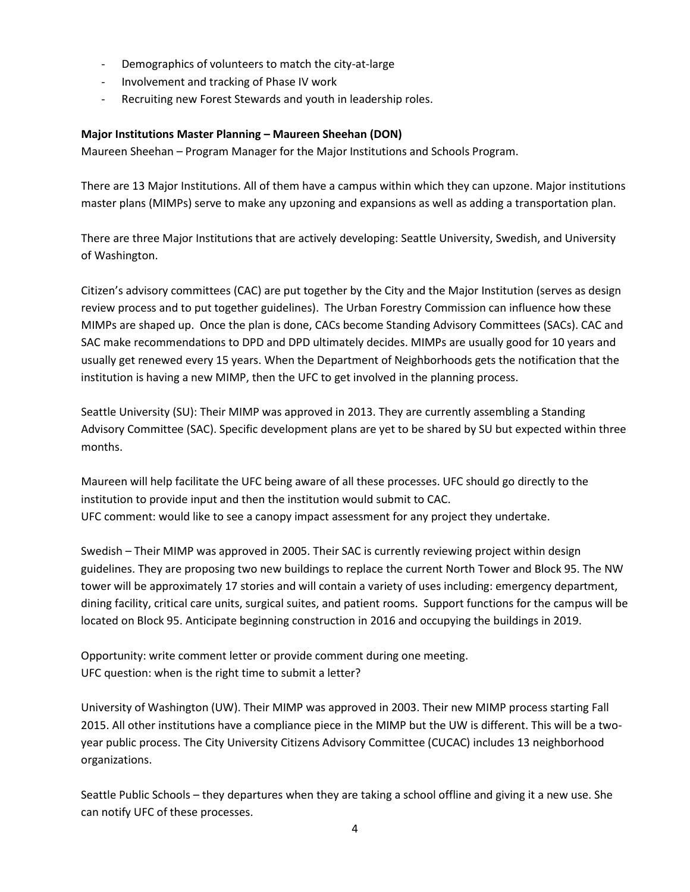- Demographics of volunteers to match the city-at-large
- Involvement and tracking of Phase IV work
- Recruiting new Forest Stewards and youth in leadership roles.

## **Major Institutions Master Planning – Maureen Sheehan (DON)**

Maureen Sheehan – Program Manager for the Major Institutions and Schools Program.

There are 13 Major Institutions. All of them have a campus within which they can upzone. Major institutions master plans (MIMPs) serve to make any upzoning and expansions as well as adding a transportation plan.

There are three Major Institutions that are actively developing: Seattle University, Swedish, and University of Washington.

Citizen's advisory committees (CAC) are put together by the City and the Major Institution (serves as design review process and to put together guidelines). The Urban Forestry Commission can influence how these MIMPs are shaped up. Once the plan is done, CACs become Standing Advisory Committees (SACs). CAC and SAC make recommendations to DPD and DPD ultimately decides. MIMPs are usually good for 10 years and usually get renewed every 15 years. When the Department of Neighborhoods gets the notification that the institution is having a new MIMP, then the UFC to get involved in the planning process.

Seattle University (SU): Their MIMP was approved in 2013. They are currently assembling a Standing Advisory Committee (SAC). Specific development plans are yet to be shared by SU but expected within three months.

Maureen will help facilitate the UFC being aware of all these processes. UFC should go directly to the institution to provide input and then the institution would submit to CAC. UFC comment: would like to see a canopy impact assessment for any project they undertake.

Swedish – Their MIMP was approved in 2005. Their SAC is currently reviewing project within design guidelines. They are proposing two new buildings to replace the current North Tower and Block 95. The NW tower will be approximately 17 stories and will contain a variety of uses including: emergency department, dining facility, critical care units, surgical suites, and patient rooms. Support functions for the campus will be located on Block 95. Anticipate beginning construction in 2016 and occupying the buildings in 2019.

Opportunity: write comment letter or provide comment during one meeting. UFC question: when is the right time to submit a letter?

University of Washington (UW). Their MIMP was approved in 2003. Their new MIMP process starting Fall 2015. All other institutions have a compliance piece in the MIMP but the UW is different. This will be a twoyear public process. The City University Citizens Advisory Committee (CUCAC) includes 13 neighborhood organizations.

Seattle Public Schools – they departures when they are taking a school offline and giving it a new use. She can notify UFC of these processes.